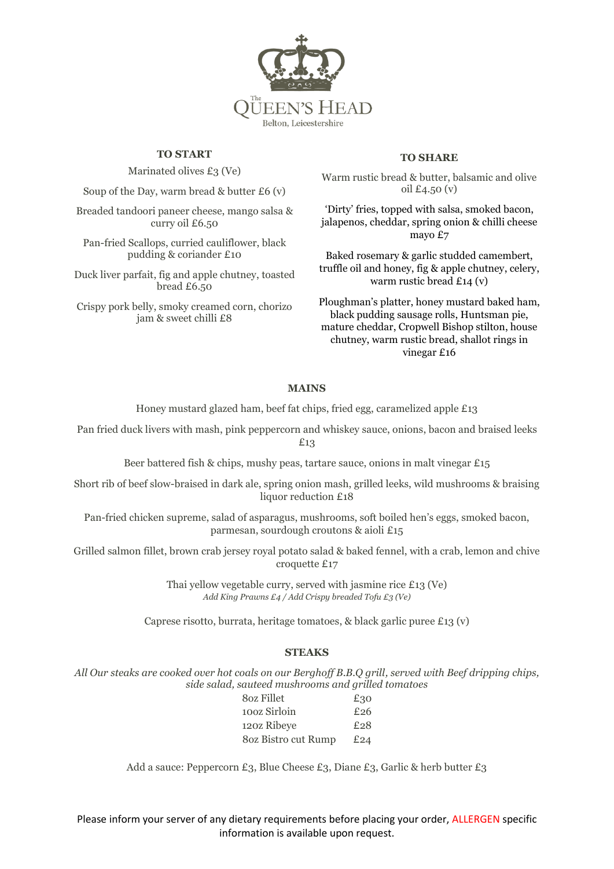

## **TO START**

Marinated olives  $£3$  (Ve)

Soup of the Day, warm bread  $&$  butter £6 (v)

Breaded tandoori paneer cheese, mango salsa & curry oil £6.50

Pan-fried Scallops, curried cauliflower, black pudding & coriander £10

Duck liver parfait, fig and apple chutney, toasted bread £6.50

Crispy pork belly, smoky creamed corn, chorizo jam & sweet chilli £8

#### **TO SHARE**

Warm rustic bread & butter, balsamic and olive oil £4.50 (v)

'Dirty' fries, topped with salsa, smoked bacon, jalapenos, cheddar, spring onion & chilli cheese mayo £7

Baked rosemary & garlic studded camembert, truffle oil and honey, fig & apple chutney, celery, warm rustic bread £14 (v)

Ploughman's platter, honey mustard baked ham, black pudding sausage rolls, Huntsman pie, mature cheddar, Cropwell Bishop stilton, house chutney, warm rustic bread, shallot rings in vinegar £16

## **MAINS**

Honey mustard glazed ham, beef fat chips, fried egg, caramelized apple £13

Pan fried duck livers with mash, pink peppercorn and whiskey sauce, onions, bacon and braised leeks £13

Beer battered fish & chips, mushy peas, tartare sauce, onions in malt vinegar  $£15$ 

Short rib of beef slow-braised in dark ale, spring onion mash, grilled leeks, wild mushrooms & braising liquor reduction £18

Pan-fried chicken supreme, salad of asparagus, mushrooms, soft boiled hen's eggs, smoked bacon, parmesan, sourdough croutons & aioli £15

Grilled salmon fillet, brown crab jersey royal potato salad & baked fennel, with a crab, lemon and chive croquette £17

> Thai yellow vegetable curry, served with jasmine rice £13 (Ve) *Add King Prawns £4 / Add Crispy breaded Tofu £3 (Ve)*

Caprese risotto, burrata, heritage tomatoes, & black garlic puree £13 (v)

#### **STEAKS**

*All Our steaks are cooked over hot coals on our Berghoff B.B.Q grill, served with Beef dripping chips, side salad, sauteed mushrooms and grilled tomatoes*

| 80z Fillet          | £30 |
|---------------------|-----|
| 100z Sirloin        | £26 |
| 120z Ribeye         | £28 |
| 80z Bistro cut Rump | £24 |

Add a sauce: Peppercorn £3, Blue Cheese £3, Diane £3, Garlic & herb butter £3

Please inform your server of any dietary requirements before placing your order, ALLERGEN specific information is available upon request.